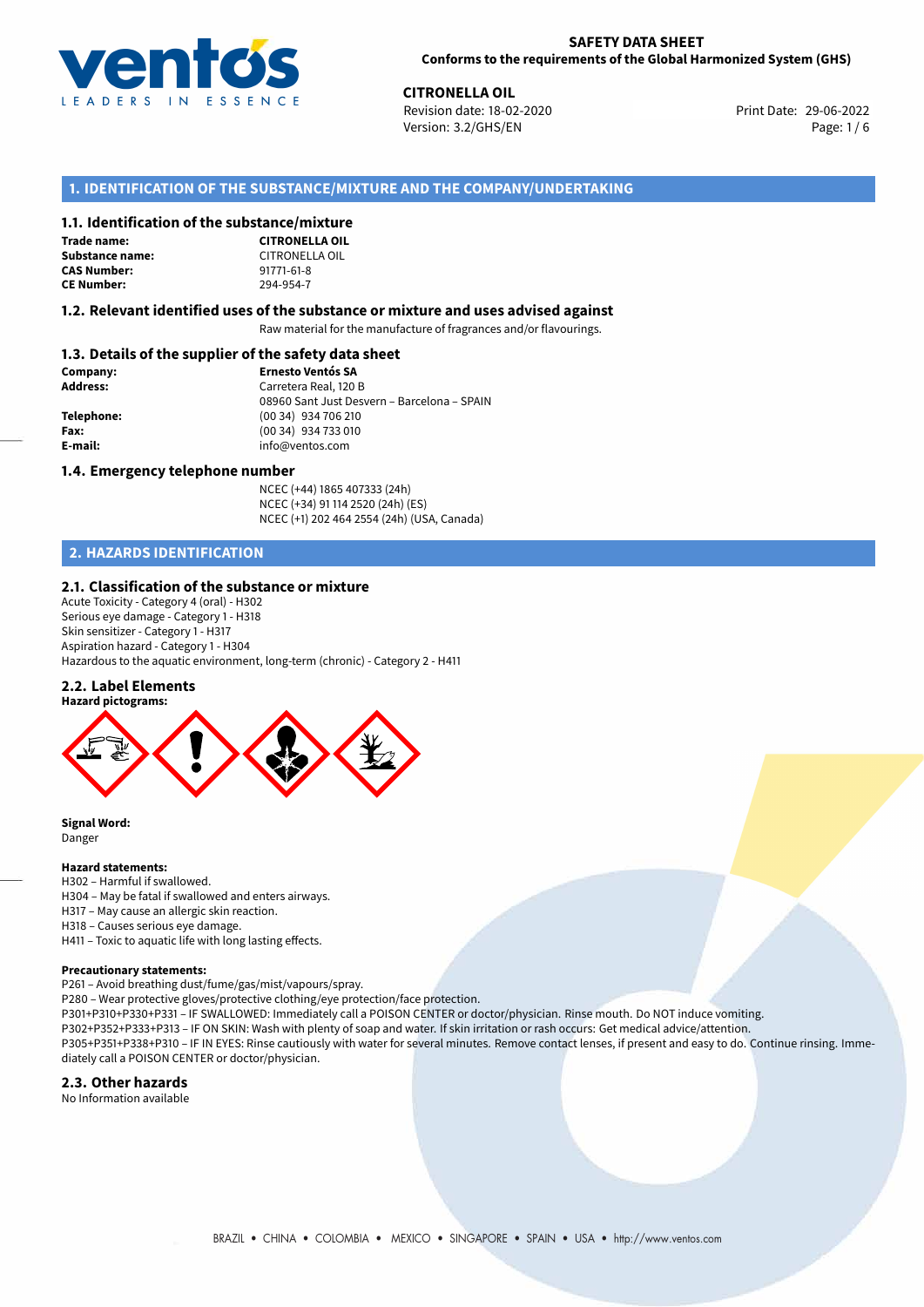

**CITRONELLA OIL**<br>
Revision date: 18-02-2020 **CITRON REVISION** Print Date: 29-06-2022 Version: 3.2/GHS/EN Page: 1 / 6

# **1. IDENTIFICATION OF THE SUBSTANCE/MIXTURE AND THE COMPANY/UNDERTAKING**

## **1.1. Identification of the substance/mixture**

### **Trade name: Substance name:** CITRONELLA OIL<br> **CAS Number:** 91771-61-8 **CAS Number: CE Number:** 294-954-7

**CITRONELLA OIL**

## **1.2. Relevant identified uses of the substance or mixture and uses advised against**

Raw material for the manufacture of fragrances and/or flavourings.

## **1.3. Details of the supplier of the safety data sheet**

| Company:        | <b>Ernesto Ventós SA</b>                    |
|-----------------|---------------------------------------------|
| <b>Address:</b> | Carretera Real, 120 B                       |
|                 | 08960 Sant Just Desvern - Barcelona - SPAIN |
| Telephone:      | (00 34) 934 706 210                         |
| Fax:            | (00 34) 934 733 010                         |
| E-mail:         | info@ventos.com                             |
|                 |                                             |

### **1.4. Emergency telephone number**

NCEC (+44) 1865 407333 (24h) NCEC (+34) 91 114 2520 (24h) (ES) NCEC (+1) 202 464 2554 (24h) (USA, Canada)

# **2. HAZARDS IDENTIFICATION**

### **2.1. Classification of the substance or mixture**

Acute Toxicity - Category 4 (oral) - H302 Serious eye damage - Category 1 - H318 Skin sensitizer - Category 1 - H317 Aspiration hazard - Category 1 - H304 Hazardous to the aquatic environment, long-term (chronic) - Category 2 - H411

### **2.2. Label Elements**



**Signal Word:** Danger

# **Hazard statements:**

- H302 Harmful if swallowed.
- H304 May be fatal if swallowed and enters airways.
- H317 May cause an allergic skin reaction.
- H318 Causes serious eye damage.
- H411 Toxic to aquatic life with long lasting effects.

### **Precautionary statements:**

P261 – Avoid breathing dust/fume/gas/mist/vapours/spray.

P280 – Wear protective gloves/protective clothing/eye protection/face protection.

P301+P310+P330+P331 – IF SWALLOWED: Immediately call a POISON CENTER or doctor/physician. Rinse mouth. Do NOT induce vomiting.

P302+P352+P333+P313 – IF ON SKIN: Wash with plenty of soap and water. If skin irritation or rash occurs: Get medical advice/attention. P305+P351+P338+P310 – IF IN EYES: Rinse cautiously with water for several minutes. Remove contact lenses, if present and easy to do. Continue rinsing. Immediately call a POISON CENTER or doctor/physician.

### **2.3. Other hazards**

No Information available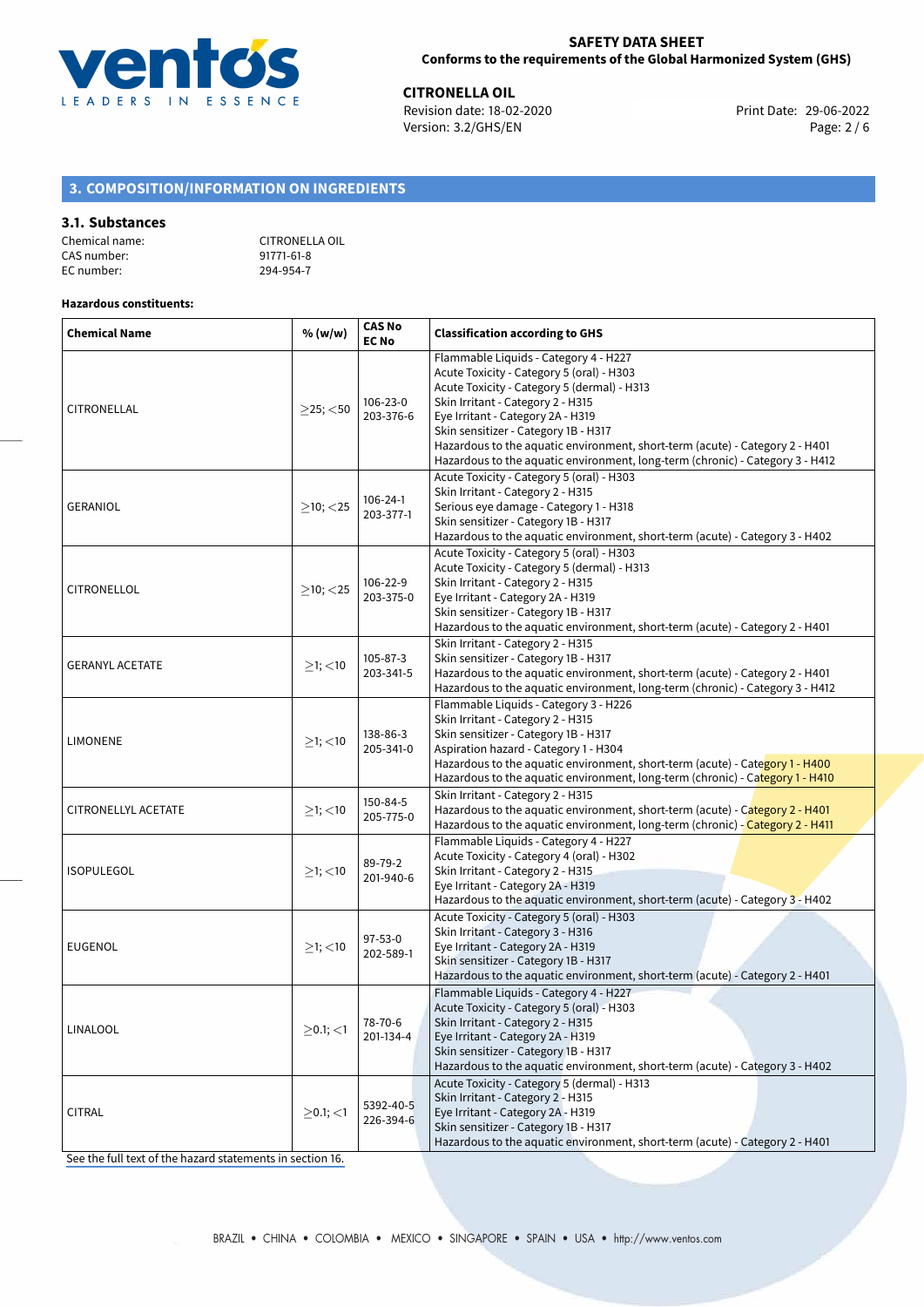

**CITRONELLA OIL**<br>
Revision date: 18-02-2020 **Print Date: 29-06-2022** Version: 3.2/GHS/EN Page: 2 / 6

# **3. COMPOSITION/INFORMATION ON INGREDIENTS**

### **3.1. Substances**

| Chemical name: | CITRONELLA OIL |
|----------------|----------------|
| CAS number:    | 91771-61-8     |
| EC number:     | 294-954-7      |

### **Hazardous constituents:**

| <b>Chemical Name</b>   | % (w/w)           | <b>CAS No</b><br><b>EC No</b> | <b>Classification according to GHS</b>                                                                                                                                                                                                                                                                                                                                                                               |  |  |  |
|------------------------|-------------------|-------------------------------|----------------------------------------------------------------------------------------------------------------------------------------------------------------------------------------------------------------------------------------------------------------------------------------------------------------------------------------------------------------------------------------------------------------------|--|--|--|
| CITRONELLAL            | $>$ 25; $<$ 50    | 106-23-0<br>203-376-6         | Flammable Liquids - Category 4 - H227<br>Acute Toxicity - Category 5 (oral) - H303<br>Acute Toxicity - Category 5 (dermal) - H313<br>Skin Irritant - Category 2 - H315<br>Eye Irritant - Category 2A - H319<br>Skin sensitizer - Category 1B - H317<br>Hazardous to the aquatic environment, short-term (acute) - Category 2 - H401<br>Hazardous to the aquatic environment, long-term (chronic) - Category 3 - H412 |  |  |  |
| GERANIOL               | $>10$ ; $<$ 25    | 106-24-1<br>203-377-1         | Acute Toxicity - Category 5 (oral) - H303<br>Skin Irritant - Category 2 - H315<br>Serious eye damage - Category 1 - H318<br>Skin sensitizer - Category 1B - H317<br>Hazardous to the aquatic environment, short-term (acute) - Category 3 - H402                                                                                                                                                                     |  |  |  |
| CITRONELLOL            | $\geq$ 10; <25    | 106-22-9<br>203-375-0         | Acute Toxicity - Category 5 (oral) - H303<br>Acute Toxicity - Category 5 (dermal) - H313<br>Skin Irritant - Category 2 - H315<br>Eye Irritant - Category 2A - H319<br>Skin sensitizer - Category 1B - H317<br>Hazardous to the aquatic environment, short-term (acute) - Category 2 - H401                                                                                                                           |  |  |  |
| <b>GERANYL ACETATE</b> | $\geq$ 1; <10     | $105 - 87 - 3$<br>203-341-5   | Skin Irritant - Category 2 - H315<br>Skin sensitizer - Category 1B - H317<br>Hazardous to the aquatic environment, short-term (acute) - Category 2 - H401<br>Hazardous to the aquatic environment, long-term (chronic) - Category 3 - H412                                                                                                                                                                           |  |  |  |
| <b>LIMONENE</b>        | $\geq$ 1; <10     | 138-86-3<br>205-341-0         | Flammable Liquids - Category 3 - H226<br>Skin Irritant - Category 2 - H315<br>Skin sensitizer - Category 1B - H317<br>Aspiration hazard - Category 1 - H304<br>Hazardous to the aquatic environment, short-term (acute) - Category 1 - H400                                                                                                                                                                          |  |  |  |
| CITRONELLYL ACETATE    | $\geq$ 1; <10     | 150-84-5<br>205-775-0         | Hazardous to the aquatic environment, long-term (chronic) - Category 1 - H410<br>Skin Irritant - Category 2 - H315<br>Hazardous to the aquatic environment, short-term (acute) - Category 2 - H401<br>Hazardous to the aquatic environment, long-term (chronic) - Category 2 - H411                                                                                                                                  |  |  |  |
| <b>ISOPULEGOL</b>      | $\geq$ 1; <10     | 89-79-2<br>201-940-6          | Flammable Liquids - Category 4 - H227<br>Acute Toxicity - Category 4 (oral) - H302<br>Skin Irritant - Category 2 - H315<br>Eye Irritant - Category 2A - H319<br>Hazardous to the aquatic environment, short-term (acute) - Category 3 - H402                                                                                                                                                                         |  |  |  |
| <b>EUGENOL</b>         | $\geq$ 1; <10     | $97 - 53 - 0$<br>202-589-1    | Acute Toxicity - Category 5 (oral) - H303<br>Skin Irritant - Category 3 - H316<br>Eye Irritant - Category 2A - H319<br>Skin sensitizer - Category 1B - H317<br>Hazardous to the aquatic environment, short-term (acute) - Category 2 - H401                                                                                                                                                                          |  |  |  |
| <b>LINALOOL</b>        | $\geq$ 0.1; <1    | 78-70-6<br>201-134-4          | Flammable Liquids - Category 4 - H227<br>Acute Toxicity - Category 5 (oral) - H303<br>Skin Irritant - Category 2 - H315<br>Eye Irritant - Category 2A - H319<br>Skin sensitizer - Category 1B - H317<br>Hazardous to the aquatic environment, short-term (acute) - Category 3 - H402                                                                                                                                 |  |  |  |
| <b>CITRAL</b>          | $\geq$ 0.1; $<$ 1 | 5392-40-5<br>226-394-6        | Acute Toxicity - Category 5 (dermal) - H313<br>Skin Irritant - Category 2 - H315<br>Eye Irritant - Category 2A - H319<br>Skin sensitizer - Category 1B - H317<br>Hazardous to the aquatic environment, short-term (acute) - Category 2 - H401                                                                                                                                                                        |  |  |  |

[See the full text of the hazard statements in section 16.](#page-5-0)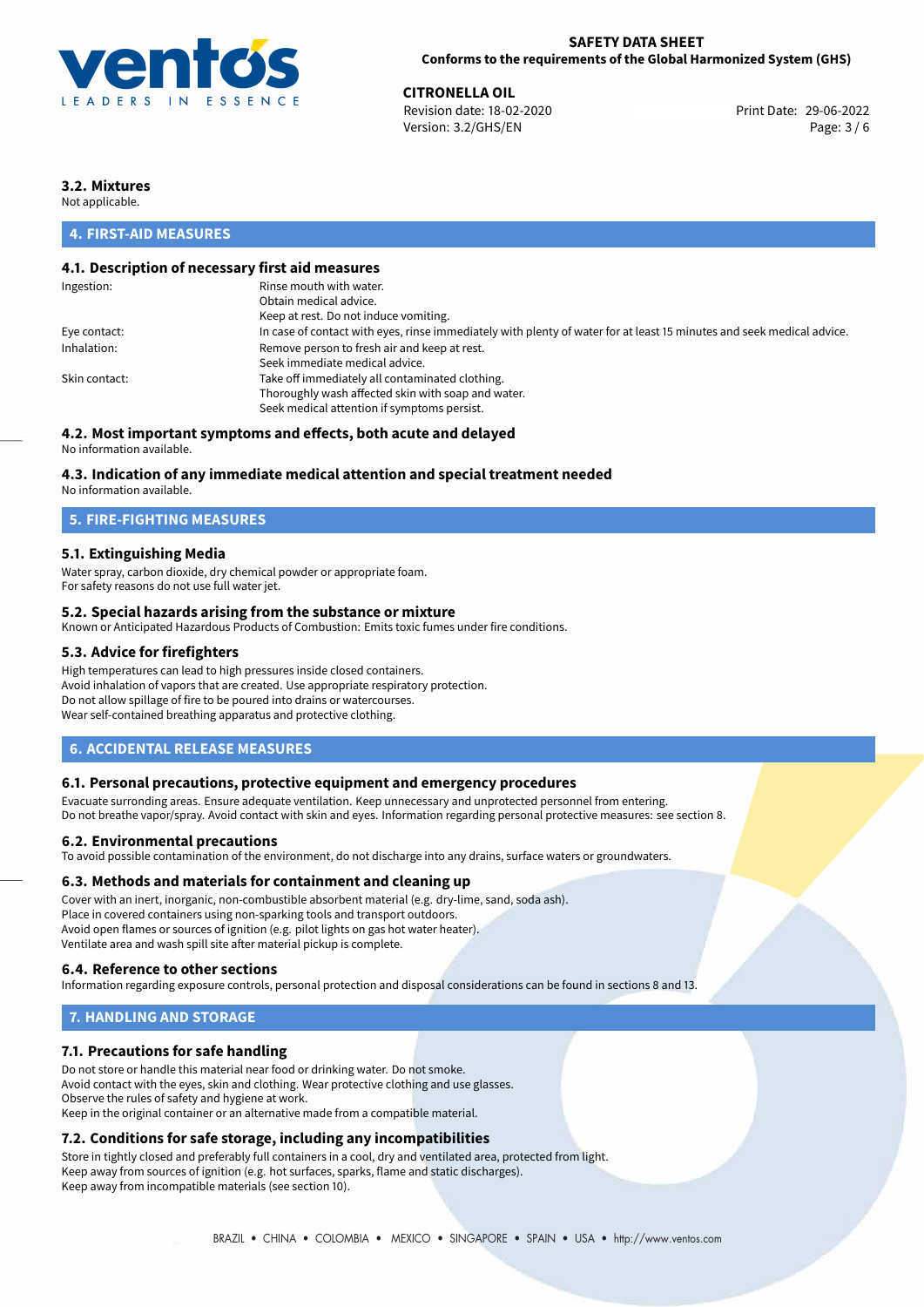

**CITRONELLA OIL**<br>
Revision date: 18-02-2020 **Print Date: 29-06-2022** Version: 3.2/GHS/EN Page: 3 / 6

# **3.2. Mixtures**

Not applicable.

# **4. FIRST-AID MEASURES**

# **4.1. Description of necessary first aid measures**

| Ingestion:    | Rinse mouth with water.                                                                                               |
|---------------|-----------------------------------------------------------------------------------------------------------------------|
|               | Obtain medical advice.                                                                                                |
|               | Keep at rest. Do not induce vomiting.                                                                                 |
| Eye contact:  | In case of contact with eyes, rinse immediately with plenty of water for at least 15 minutes and seek medical advice. |
| Inhalation:   | Remove person to fresh air and keep at rest.                                                                          |
|               | Seek immediate medical advice.                                                                                        |
| Skin contact: | Take off immediately all contaminated clothing.                                                                       |
|               | Thoroughly wash affected skin with soap and water.                                                                    |
|               | Seek medical attention if symptoms persist.                                                                           |
|               |                                                                                                                       |

# **4.2. Most important symptoms and effects, both acute and delayed**

No information available.

## **4.3. Indication of any immediate medical attention and special treatment needed**

No information available.

# **5. FIRE-FIGHTING MEASURES**

## **5.1. Extinguishing Media**

Water spray, carbon dioxide, dry chemical powder or appropriate foam. For safety reasons do not use full water jet.

## **5.2. Special hazards arising from the substance or mixture**

Known or Anticipated Hazardous Products of Combustion: Emits toxic fumes under fire conditions.

## **5.3. Advice for firefighters**

High temperatures can lead to high pressures inside closed containers. Avoid inhalation of vapors that are created. Use appropriate respiratory protection. Do not allow spillage of fire to be poured into drains or watercourses. Wear self-contained breathing apparatus and protective clothing.

## **6. ACCIDENTAL RELEASE MEASURES**

### **6.1. Personal precautions, protective equipment and emergency procedures**

Evacuate surronding areas. Ensure adequate ventilation. Keep unnecessary and unprotected personnel from entering. Do not breathe vapor/spray. Avoid contact with skin and eyes. Information regarding personal protective measures: see section 8.

### **6.2. Environmental precautions**

To avoid possible contamination of the environment, do not discharge into any drains, surface waters or groundwaters.

### **6.3. Methods and materials for containment and cleaning up**

Cover with an inert, inorganic, non-combustible absorbent material (e.g. dry-lime, sand, soda ash). Place in covered containers using non-sparking tools and transport outdoors. Avoid open flames or sources of ignition (e.g. pilot lights on gas hot water heater). Ventilate area and wash spill site after material pickup is complete.

## **6.4. Reference to other sections**

Information regarding exposure controls, personal protection and disposal considerations can be found in sections 8 and 13.

# **7. HANDLING AND STORAGE**

## **7.1. Precautions for safe handling**

Do not store or handle this material near food or drinking water. Do not smoke. Avoid contact with the eyes, skin and clothing. Wear protective clothing and use glasses. Observe the rules of safety and hygiene at work. Keep in the original container or an alternative made from a compatible material.

# **7.2. Conditions for safe storage, including any incompatibilities**

Store in tightly closed and preferably full containers in a cool, dry and ventilated area, protected from light. Keep away from sources of ignition (e.g. hot surfaces, sparks, flame and static discharges). Keep away from incompatible materials (see section 10).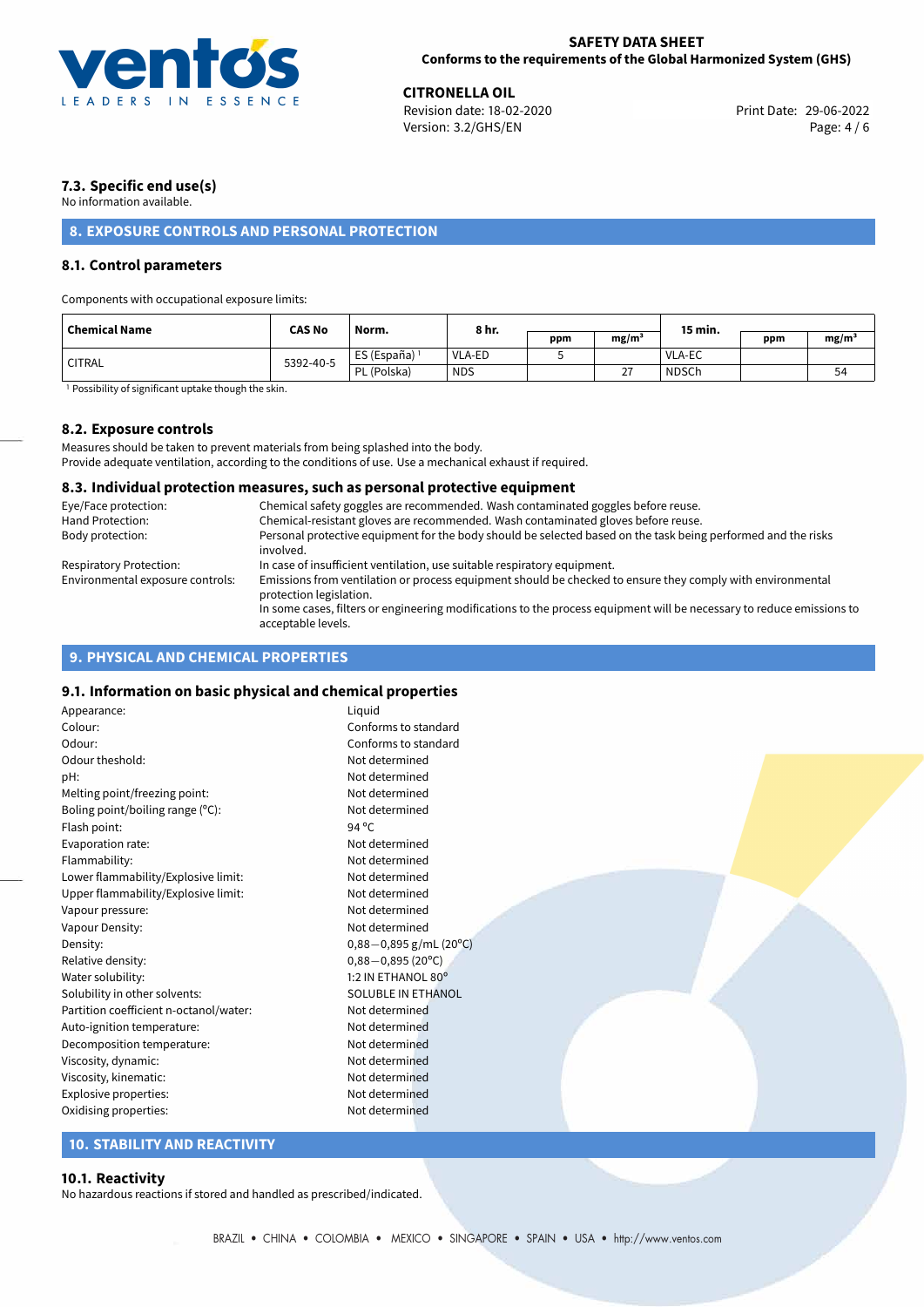

**CITRONELLA OIL**<br>
Revision date: 18-02-2020 **Print Date: 29-06-2022** Version: 3.2/GHS/EN Page: 4 / 6

# **7.3. Specific end use(s)**

No information available.

# **8. EXPOSURE CONTROLS AND PERSONAL PROTECTION**

# **8.1. Control parameters**

Components with occupational exposure limits:

| <b>Chemical Name</b> | <b>CAS No</b> | Norm.                    | 8 hr.      |     |                   | 15 min.      |     |          |
|----------------------|---------------|--------------------------|------------|-----|-------------------|--------------|-----|----------|
|                      |               |                          |            | ppm | mg/m <sup>3</sup> |              | ppm | $mg/m^3$ |
| <b>CITRAL</b>        | 5392-40-5     | ES (España) <sup>1</sup> | VLA-ED     |     |                   | VLA-EC       |     |          |
|                      |               | PL (Polska)              | <b>NDS</b> |     | 27<br>∠           | <b>NDSCh</b> |     | 54       |

<sup>1</sup> Possibility of significant uptake though the skin.

## **8.2. Exposure controls**

Measures should be taken to prevent materials from being splashed into the body. Provide adequate ventilation, according to the conditions of use. Use a mechanical exhaust if required.

### **8.3. Individual protection measures, such as personal protective equipment**

| Eye/Face protection:             | Chemical safety goggles are recommended. Wash contaminated goggles before reuse.                                                            |
|----------------------------------|---------------------------------------------------------------------------------------------------------------------------------------------|
| Hand Protection:                 | Chemical-resistant gloves are recommended. Wash contaminated gloves before reuse.                                                           |
| Body protection:                 | Personal protective equipment for the body should be selected based on the task being performed and the risks<br>involved.                  |
| <b>Respiratory Protection:</b>   | In case of insufficient ventilation, use suitable respiratory equipment.                                                                    |
| Environmental exposure controls: | Emissions from ventilation or process equipment should be checked to ensure they comply with environmental<br>protection legislation.       |
|                                  | In some cases, filters or engineering modifications to the process equipment will be necessary to reduce emissions to<br>acceptable levels. |

# **9. PHYSICAL AND CHEMICAL PROPERTIES**

# **9.1. Information on basic physical and chemical properties**

| Appearance:                            | Liquid                    |  |
|----------------------------------------|---------------------------|--|
| Colour:                                | Conforms to standard      |  |
| Odour:                                 | Conforms to standard      |  |
| Odour theshold:                        | Not determined            |  |
| pH:                                    | Not determined            |  |
| Melting point/freezing point:          | Not determined            |  |
| Boling point/boiling range (°C):       | Not determined            |  |
| Flash point:                           | 94 $^{\circ}$ C           |  |
| Evaporation rate:                      | Not determined            |  |
| Flammability:                          | Not determined            |  |
| Lower flammability/Explosive limit:    | Not determined            |  |
| Upper flammability/Explosive limit:    | Not determined            |  |
| Vapour pressure:                       | Not determined            |  |
| Vapour Density:                        | Not determined            |  |
| Density:                               | $0,88-0,895$ g/mL (20°C)  |  |
| Relative density:                      | $0,88 - 0,895(20°C)$      |  |
| Water solubility:                      | 1:2 IN ETHANOL 80°        |  |
| Solubility in other solvents:          | <b>SOLUBLE IN ETHANOL</b> |  |
| Partition coefficient n-octanol/water: | Not determined            |  |
| Auto-ignition temperature:             | Not determined            |  |
| Decomposition temperature:             | Not determined            |  |
| Viscosity, dynamic:                    | Not determined            |  |
| Viscosity, kinematic:                  | Not determined            |  |
| Explosive properties:                  | Not determined            |  |
| Oxidising properties:                  | Not determined            |  |
|                                        |                           |  |

# **10. STABILITY AND REACTIVITY**

### **10.1. Reactivity**

No hazardous reactions if stored and handled as prescribed/indicated.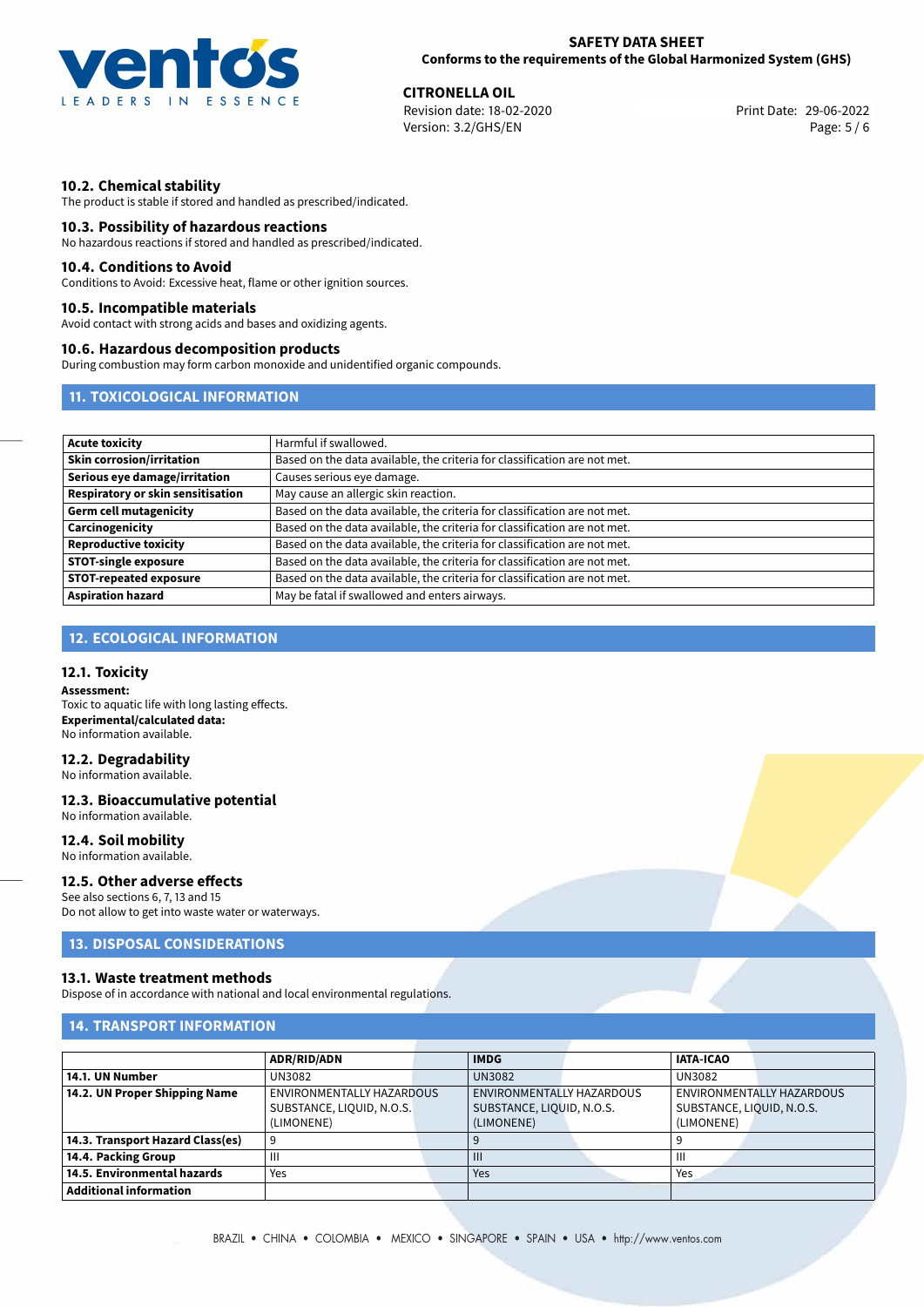

**CITRONELLA OIL**<br>
Revision date: 18-02-2020 **Print Date: 29-06-2022** Version: 3.2/GHS/EN Page: 5 / 6

# **10.2. Chemical stability**

The product is stable if stored and handled as prescribed/indicated.

### **10.3. Possibility of hazardous reactions**

No hazardous reactions if stored and handled as prescribed/indicated.

### **10.4. Conditions to Avoid**

Conditions to Avoid: Excessive heat, flame or other ignition sources.

### **10.5. Incompatible materials**

Avoid contact with strong acids and bases and oxidizing agents.

## **10.6. Hazardous decomposition products**

During combustion may form carbon monoxide and unidentified organic compounds.

# **11. TOXICOLOGICAL INFORMATION**

| <b>Acute toxicity</b>             | Harmful if swallowed.                                                     |  |  |  |  |
|-----------------------------------|---------------------------------------------------------------------------|--|--|--|--|
| <b>Skin corrosion/irritation</b>  | Based on the data available, the criteria for classification are not met. |  |  |  |  |
| Serious eye damage/irritation     | Causes serious eye damage.                                                |  |  |  |  |
| Respiratory or skin sensitisation | May cause an allergic skin reaction.                                      |  |  |  |  |
| <b>Germ cell mutagenicity</b>     | Based on the data available, the criteria for classification are not met. |  |  |  |  |
| Carcinogenicity                   | Based on the data available, the criteria for classification are not met. |  |  |  |  |
| <b>Reproductive toxicity</b>      | Based on the data available, the criteria for classification are not met. |  |  |  |  |
| <b>STOT-single exposure</b>       | Based on the data available, the criteria for classification are not met. |  |  |  |  |
| <b>STOT-repeated exposure</b>     | Based on the data available, the criteria for classification are not met. |  |  |  |  |
| <b>Aspiration hazard</b>          | May be fatal if swallowed and enters airways.                             |  |  |  |  |

# **12. ECOLOGICAL INFORMATION**

# **12.1. Toxicity**

**Assessment:** Toxic to aquatic life with long lasting effects. **Experimental/calculated data:** No information available.

# **12.2. Degradability**

No information available.

### **12.3. Bioaccumulative potential** No information available.

**12.4. Soil mobility**

# No information available.

# **12.5. Other adverse effects**

See also sections 6, 7, 13 and 15 Do not allow to get into waste water or waterways.

# **13. DISPOSAL CONSIDERATIONS**

## **13.1. Waste treatment methods**

Dispose of in accordance with national and local environmental regulations.

# **14. TRANSPORT INFORMATION**

|                                  | <b>ADR/RID/ADN</b>               | <b>IMDG</b>               | <b>IATA-ICAO</b>          |                           |
|----------------------------------|----------------------------------|---------------------------|---------------------------|---------------------------|
| 14.1. UN Number                  | UN3082                           | <b>UN3082</b>             | <b>UN3082</b>             |                           |
| 14.2. UN Proper Shipping Name    | <b>ENVIRONMENTALLY HAZARDOUS</b> | ENVIRONMENTALLY HAZARDOUS |                           | ENVIRONMENTALLY HAZARDOUS |
|                                  | SUBSTANCE, LIQUID, N.O.S.        | SUBSTANCE, LIQUID, N.O.S. | SUBSTANCE, LIQUID, N.O.S. |                           |
|                                  | (LIMONENE)                       | (LIMONENE)                | (LIMONENE)                |                           |
| 14.3. Transport Hazard Class(es) |                                  |                           |                           |                           |
| 14.4. Packing Group              | Ш                                | $\mathbf{III}$            | Ш                         |                           |
| 14.5. Environmental hazards      | Yes                              | Yes                       | Yes                       |                           |
| <b>Additional information</b>    |                                  |                           |                           |                           |